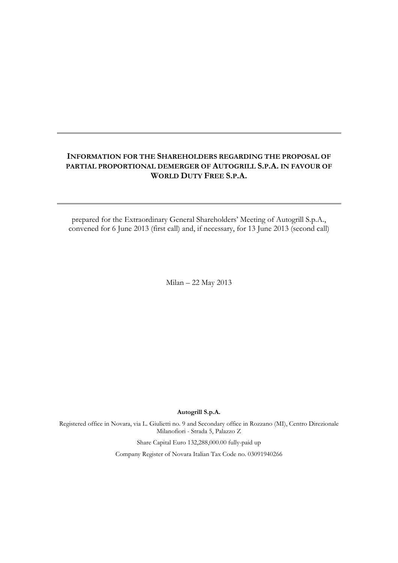## **INFORMATION FOR THE SHAREHOLDERS REGARDING THE PROPOSAL OF PARTIAL PROPORTIONAL DEMERGER OF AUTOGRILL S.P.A. IN FAVOUR OF WORLD DUTY FREE S.P.A.**

prepared for the Extraordinary General Shareholders' Meeting of Autogrill S.p.A., convened for 6 June 2013 (first call) and, if necessary, for 13 June 2013 (second call)

Milan – 22 May 2013

**Autogrill S.p.A.**

Registered office in Novara, via L. Giulietti no. 9 and Secondary office in Rozzano (MI), Centro Direzionale Milanofiori - Strada 5, Palazzo Z

Share Capital Euro 132,288,000.00 fully-paid up

Company Register of Novara Italian Tax Code no. 03091940266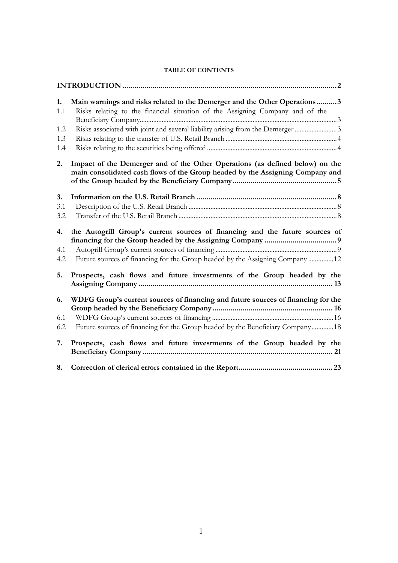| 1.<br>1.1<br>1.2<br>1.3<br>1.4 | Main warnings and risks related to the Demerger and the Other Operations3<br>Risks relating to the financial situation of the Assigning Company and of the<br>Risks associated with joint and several liability arising from the Demerger 3 |
|--------------------------------|---------------------------------------------------------------------------------------------------------------------------------------------------------------------------------------------------------------------------------------------|
| 2.                             | Impact of the Demerger and of the Other Operations (as defined below) on the<br>main consolidated cash flows of the Group headed by the Assigning Company and                                                                               |
| 3.<br>3.1<br>3.2               |                                                                                                                                                                                                                                             |
| 4.<br>4.1<br>4.2               | the Autogrill Group's current sources of financing and the future sources of<br>Future sources of financing for the Group headed by the Assigning Company 12                                                                                |
| 5.                             | Prospects, cash flows and future investments of the Group headed by the                                                                                                                                                                     |
| 6.<br>6.1<br>6.2               | WDFG Group's current sources of financing and future sources of financing for the<br>Future sources of financing for the Group headed by the Beneficiary Company18                                                                          |
| 7.                             | Prospects, cash flows and future investments of the Group headed by the                                                                                                                                                                     |
| 8.                             |                                                                                                                                                                                                                                             |

### **TABLE OF CONTENTS**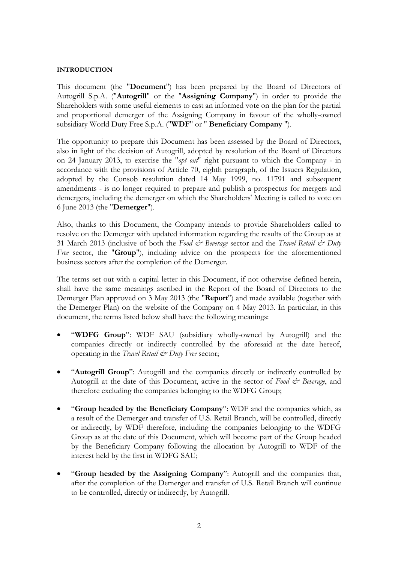#### <span id="page-2-0"></span>**INTRODUCTION**

This document (the "**Document**") has been prepared by the Board of Directors of Autogrill S.p.A. ("**Autogrill**" or the "**Assigning Company**") in order to provide the Shareholders with some useful elements to cast an informed vote on the plan for the partial and proportional demerger of the Assigning Company in favour of the wholly-owned subsidiary World Duty Free S.p.A. ("**WDF**" or " **Beneficiary Company** ").

The opportunity to prepare this Document has been assessed by the Board of Directors, also in light of the decision of Autogrill, adopted by resolution of the Board of Directors on 24 January 2013, to exercise the "*opt out*" right pursuant to which the Company - in accordance with the provisions of Article 70, eighth paragraph, of the Issuers Regulation, adopted by the Consob resolution dated 14 May 1999, no. 11791 and subsequent amendments - is no longer required to prepare and publish a prospectus for mergers and demergers, including the demerger on which the Shareholders' Meeting is called to vote on 6 June 2013 (the "**Demerger**").

Also, thanks to this Document, the Company intends to provide Shareholders called to resolve on the Demerger with updated information regarding the results of the Group as at 31 March 2013 (inclusive of both the *Food & Beverage* sector and the *Travel Retail & Duty Free* sector, the "**Group**"), including advice on the prospects for the aforementioned business sectors after the completion of the Demerger.

The terms set out with a capital letter in this Document, if not otherwise defined herein, shall have the same meanings ascribed in the Report of the Board of Directors to the Demerger Plan approved on 3 May 2013 (the "**Report**") and made available (together with the Demerger Plan) on the website of the Company on 4 May 2013. In particular, in this document, the terms listed below shall have the following meanings:

- "**WDFG Group**": WDF SAU (subsidiary wholly-owned by Autogrill) and the companies directly or indirectly controlled by the aforesaid at the date hereof, operating in the *Travel Retail & Duty Free* sector;
- "**Autogrill Group**": Autogrill and the companies directly or indirectly controlled by Autogrill at the date of this Document, active in the sector of *Food & Beverage*, and therefore excluding the companies belonging to the WDFG Group;
- "**Group headed by the Beneficiary Company**": WDF and the companies which, as a result of the Demerger and transfer of U.S. Retail Branch, will be controlled, directly or indirectly, by WDF therefore, including the companies belonging to the WDFG Group as at the date of this Document, which will become part of the Group headed by the Beneficiary Company following the allocation by Autogrill to WDF of the interest held by the first in WDFG SAU;
- "**Group headed by the Assigning Company**": Autogrill and the companies that, after the completion of the Demerger and transfer of U.S. Retail Branch will continue to be controlled, directly or indirectly, by Autogrill.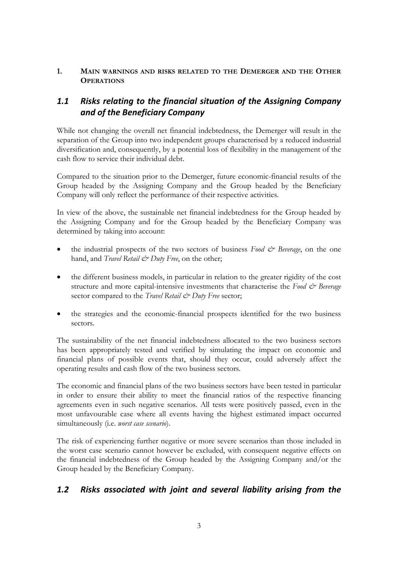## <span id="page-3-0"></span>**1. MAIN WARNINGS AND RISKS RELATED TO THE DEMERGER AND THE OTHER OPERATIONS**

# <span id="page-3-1"></span>*1.1 Risks relating to the financial situation of the Assigning Company and of the Beneficiary Company*

While not changing the overall net financial indebtedness, the Demerger will result in the separation of the Group into two independent groups characterised by a reduced industrial diversification and, consequently, by a potential loss of flexibility in the management of the cash flow to service their individual debt.

Compared to the situation prior to the Demerger, future economic-financial results of the Group headed by the Assigning Company and the Group headed by the Beneficiary Company will only reflect the performance of their respective activities.

In view of the above, the sustainable net financial indebtedness for the Group headed by the Assigning Company and for the Group headed by the Beneficiary Company was determined by taking into account:

- the industrial prospects of the two sectors of business *Food & Beverage*, on the one hand, and *Travel Retail*  $\mathcal{Q}$  *Duty Free*, on the other;
- the different business models, in particular in relation to the greater rigidity of the cost structure and more capital-intensive investments that characterise the *Food & Beverage* sector compared to the *Travel Retail*  $C^*$  *Duty Free* sector;
- the strategies and the economic-financial prospects identified for the two business sectors.

The sustainability of the net financial indebtedness allocated to the two business sectors has been appropriately tested and verified by simulating the impact on economic and financial plans of possible events that, should they occur, could adversely affect the operating results and cash flow of the two business sectors.

The economic and financial plans of the two business sectors have been tested in particular in order to ensure their ability to meet the financial ratios of the respective financing agreements even in such negative scenarios. All tests were positively passed, even in the most unfavourable case where all events having the highest estimated impact occurred simultaneously (i.e. *worst case scenario*).

The risk of experiencing further negative or more severe scenarios than those included in the worst case scenario cannot however be excluded, with consequent negative effects on the financial indebtedness of the Group headed by the Assigning Company and/or the Group headed by the Beneficiary Company.

# <span id="page-3-2"></span>*1.2 Risks associated with joint and several liability arising from the*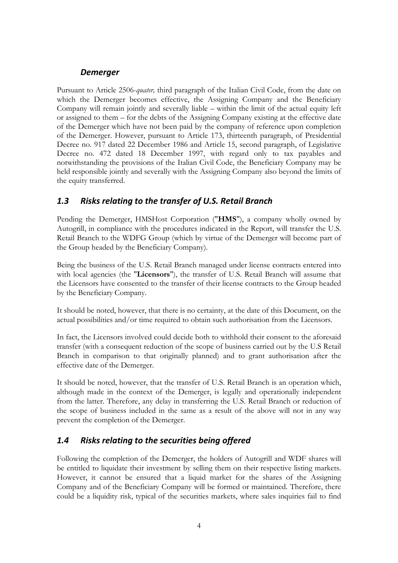# *Demerger*

Pursuant to Article 2506-*quater,* third paragraph of the Italian Civil Code, from the date on which the Demerger becomes effective, the Assigning Company and the Beneficiary Company will remain jointly and severally liable – within the limit of the actual equity left or assigned to them – for the debts of the Assigning Company existing at the effective date of the Demerger which have not been paid by the company of reference upon completion of the Demerger. However, pursuant to Article 173, thirteenth paragraph, of Presidential Decree no. 917 dated 22 December 1986 and Article 15, second paragraph, of Legislative Decree no. 472 dated 18 December 1997, with regard only to tax payables and notwithstanding the provisions of the Italian Civil Code, the Beneficiary Company may be held responsible jointly and severally with the Assigning Company also beyond the limits of the equity transferred.

# <span id="page-4-0"></span>*1.3 Risks relating to the transfer of U.S. Retail Branch*

Pending the Demerger, HMSHost Corporation ("**HMS**"), a company wholly owned by Autogrill, in compliance with the procedures indicated in the Report, will transfer the U.S. Retail Branch to the WDFG Group (which by virtue of the Demerger will become part of the Group headed by the Beneficiary Company).

Being the business of the U.S. Retail Branch managed under license contracts entered into with local agencies (the "**Licensors**"), the transfer of U.S. Retail Branch will assume that the Licensors have consented to the transfer of their license contracts to the Group headed by the Beneficiary Company.

It should be noted, however, that there is no certainty, at the date of this Document, on the actual possibilities and/or time required to obtain such authorisation from the Licensors.

In fact, the Licensors involved could decide both to withhold their consent to the aforesaid transfer (with a consequent reduction of the scope of business carried out by the U.S Retail Branch in comparison to that originally planned) and to grant authorisation after the effective date of the Demerger.

It should be noted, however, that the transfer of U.S. Retail Branch is an operation which, although made in the context of the Demerger, is legally and operationally independent from the latter. Therefore, any delay in transferring the U.S. Retail Branch or reduction of the scope of business included in the same as a result of the above will not in any way prevent the completion of the Demerger.

# <span id="page-4-1"></span>*1.4 Risks relating to the securities being offered*

Following the completion of the Demerger, the holders of Autogrill and WDF shares will be entitled to liquidate their investment by selling them on their respective listing markets. However, it cannot be ensured that a liquid market for the shares of the Assigning Company and of the Beneficiary Company will be formed or maintained. Therefore, there could be a liquidity risk, typical of the securities markets, where sales inquiries fail to find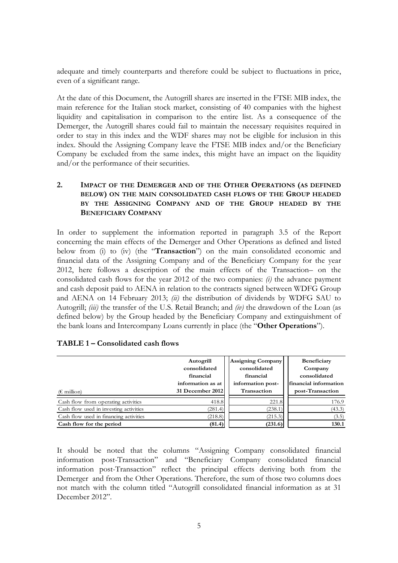adequate and timely counterparts and therefore could be subject to fluctuations in price, even of a significant range.

At the date of this Document, the Autogrill shares are inserted in the FTSE MIB index, the main reference for the Italian stock market, consisting of 40 companies with the highest liquidity and capitalisation in comparison to the entire list. As a consequence of the Demerger, the Autogrill shares could fail to maintain the necessary requisites required in order to stay in this index and the WDF shares may not be eligible for inclusion in this index. Should the Assigning Company leave the FTSE MIB index and/or the Beneficiary Company be excluded from the same index, this might have an impact on the liquidity and/or the performance of their securities.

### <span id="page-5-0"></span>**2. IMPACT OF THE DEMERGER AND OF THE OTHER OPERATIONS (AS DEFINED BELOW) ON THE MAIN CONSOLIDATED CASH FLOWS OF THE GROUP HEADED BY THE ASSIGNING COMPANY AND OF THE GROUP HEADED BY THE BENEFICIARY COMPANY**

In order to supplement the information reported in paragraph 3.5 of the Report concerning the main effects of the Demerger and Other Operations as defined and listed below from (i) to (iv) (the "**Transaction**") on the main consolidated economic and financial data of the Assigning Company and of the Beneficiary Company for the year 2012, here follows a description of the main effects of the Transaction– on the consolidated cash flows for the year 2012 of the two companies: *(i)* the advance payment and cash deposit paid to AENA in relation to the contracts signed between WDFG Group and AENA on 14 February 2013; *(ii)* the distribution of dividends by WDFG SAU to Autogrill; *(iii)* the transfer of the U.S. Retail Branch; and *(iv)* the drawdown of the Loan (as defined below) by the Group headed by the Beneficiary Company and extinguishment of the bank loans and Intercompany Loans currently in place (the "**Other Operations**").

| $(\epsilon \text{ million})$           | Autogrill<br>consolidated<br>financial<br>information as at<br>31 December 2012 | Assigning Company<br>consolidated<br>financial<br>information post-<br><b>Transaction</b> | <b>Beneficiary</b><br>Company<br>consolidated<br>financial information<br>post-Transaction |
|----------------------------------------|---------------------------------------------------------------------------------|-------------------------------------------------------------------------------------------|--------------------------------------------------------------------------------------------|
|                                        |                                                                                 |                                                                                           |                                                                                            |
| Cash flow from operating activities    | 418.8                                                                           | 221.8                                                                                     | 176.9                                                                                      |
| Cash flow used in investing activities | (281.4)                                                                         | (238.1)                                                                                   | (43.3)                                                                                     |
| Cash flow used in financing activities | (218.8)                                                                         | (215.3)                                                                                   | (3.5)                                                                                      |
| Cash flow for the period               | (81.4)                                                                          | (231.6)                                                                                   | 130.1                                                                                      |

### **TABLE 1 – Consolidated cash flows**

It should be noted that the columns "Assigning Company consolidated financial information post-Transaction" and "Beneficiary Company consolidated financial information post-Transaction" reflect the principal effects deriving both from the Demerger and from the Other Operations. Therefore, the sum of those two columns does not match with the column titled "Autogrill consolidated financial information as at 31 December 2012".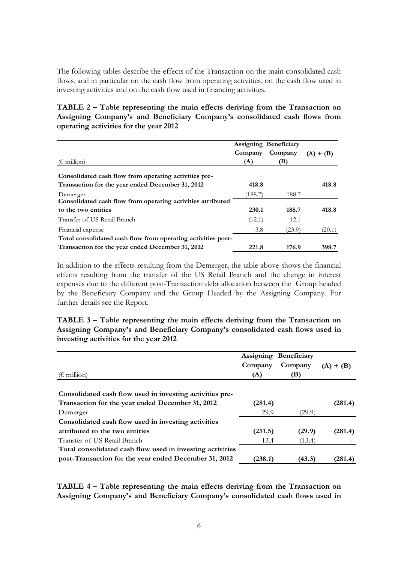The following tables describe the effects of the Transaction on the main consolidated cash flows, and in particular on the cash flow from operating activities, on the cash flow used in investing activities and on the cash flow used in financing activities.

## **TABLE 2 – Table representing the main effects deriving from the Transaction on Assigning Company's and Beneficiary Company's consolidated cash flows from operating activities for the year 2012**

|                                                              |         | Assigning Beneficiary |             |  |
|--------------------------------------------------------------|---------|-----------------------|-------------|--|
|                                                              | Company | Company               | $(A) + (B)$ |  |
| $(\epsilon \text{ million})$                                 | (A)     | (B)                   |             |  |
| Consolidated cash flow from operating activities pre-        |         |                       |             |  |
| Transaction for the year ended December 31, 2012             | 418.8   |                       | 418.8       |  |
| Demerger                                                     | (188.7  | 188.7                 |             |  |
| Consolidated cash flow from operating activities attributed  |         |                       |             |  |
| to the two entities                                          | 230.1   | 188.7                 | 418.8       |  |
| Transfer of US Retail Branch                                 | (12.1)  | 12.1                  |             |  |
| Financial expense                                            | 3.8     | (23.9)                | (20.1)      |  |
| Total consolidated cash flow from operating activities post- |         |                       |             |  |
| Transaction for the year ended December 31, 2012             | 221.8   | 176.9                 | 398.7       |  |

In addition to the effects resulting from the Demerger, the table above shows the financial effects resulting from the transfer of the US Retail Branch and the change in interest expenses due to the different post-Transaction debt allocation between the Group headed by the Beneficiary Company and the Group Headed by the Assigning Company. For further details see the Report.

**TABLE 3 – Table representing the main effects deriving from the Transaction on Assigning Company's and Beneficiary Company's consolidated cash flows used in investing activities for the year 2012**

| $(\epsilon \text{ million})$                              | Company<br>(A) | Assigning Beneficiary<br>Company<br>(B) | $(A) + (B)$ |
|-----------------------------------------------------------|----------------|-----------------------------------------|-------------|
|                                                           |                |                                         |             |
| Consolidated cash flow used in investing activities pre-  |                |                                         |             |
| Transaction for the year ended December 31, 2012          | (281.4)        |                                         | (281.4)     |
| Demerger                                                  | 29.9           | (29.9)                                  |             |
| Consolidated cash flow used in investing activities       |                |                                         |             |
| attributed to the two entities                            | (251.5)        | (29.9)                                  | (281.4)     |
| Transfer of US Retail Branch                              | 13.4           | (13.4)                                  |             |
| Total consolidated cash flow used in investing activities |                |                                         |             |
| post-Transaction for the year ended December 31, 2012     | (238.1         | (43.3)                                  | (281.4)     |

**TABLE 4 – Table representing the main effects deriving from the Transaction on Assigning Company's and Beneficiary Company's consolidated cash flows used in**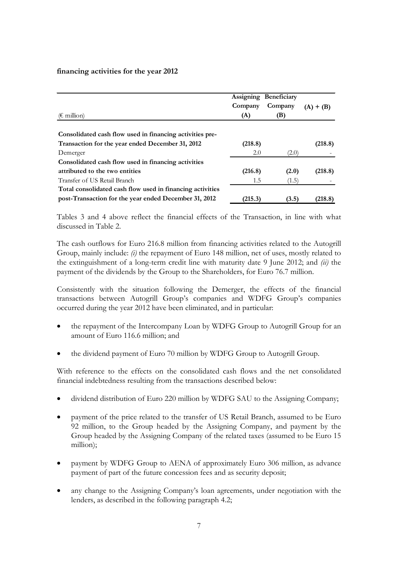#### **financing activities for the year 2012**

| $(\epsilon \text{ million})$                              | Company<br>(A) | Assigning Beneficiary<br>Company<br>(B) | $(A) + (B)$ |
|-----------------------------------------------------------|----------------|-----------------------------------------|-------------|
| Consolidated cash flow used in financing activities pre-  |                |                                         |             |
| Transaction for the year ended December 31, 2012          | (218.8)        |                                         | (218.8)     |
| Demerger                                                  | 2.0            | (2.0)                                   |             |
| Consolidated cash flow used in financing activities       |                |                                         |             |
| attributed to the two entities                            | (216.8)        | (2.0)                                   | (218.8)     |
| Transfer of US Retail Branch                              | 1.5            | (1.5)                                   |             |
| Total consolidated cash flow used in financing activities |                |                                         |             |
| post-Transaction for the year ended December 31, 2012     | (215.3)        | (3.5)                                   | (218.8)     |

Tables 3 and 4 above reflect the financial effects of the Transaction, in line with what discussed in Table 2.

The cash outflows for Euro 216.8 million from financing activities related to the Autogrill Group, mainly include: *(i)* the repayment of Euro 148 million, net of uses, mostly related to the extinguishment of a long-term credit line with maturity date 9 June 2012; and *(ii)* the payment of the dividends by the Group to the Shareholders, for Euro 76.7 million.

Consistently with the situation following the Demerger, the effects of the financial transactions between Autogrill Group's companies and WDFG Group's companies occurred during the year 2012 have been eliminated, and in particular:

- the repayment of the Intercompany Loan by WDFG Group to Autogrill Group for an amount of Euro 116.6 million; and
- the dividend payment of Euro 70 million by WDFG Group to Autogrill Group.

With reference to the effects on the consolidated cash flows and the net consolidated financial indebtedness resulting from the transactions described below:

- dividend distribution of Euro 220 million by WDFG SAU to the Assigning Company;
- payment of the price related to the transfer of US Retail Branch, assumed to be Euro 92 million, to the Group headed by the Assigning Company, and payment by the Group headed by the Assigning Company of the related taxes (assumed to be Euro 15 million);
- payment by WDFG Group to AENA of approximately Euro 306 million, as advance payment of part of the future concession fees and as security deposit;
- any change to the Assigning Company's loan agreements, under negotiation with the lenders, as described in the following paragraph [4.2;](#page-12-1)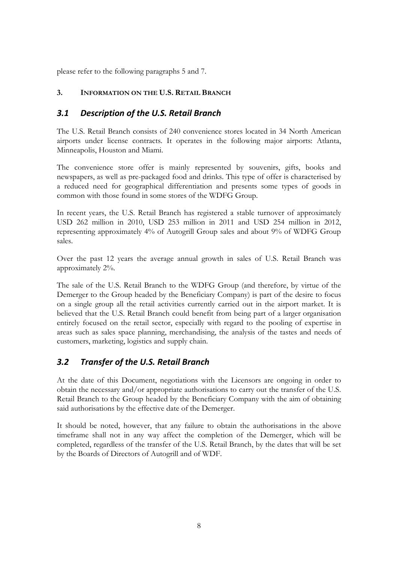<span id="page-8-0"></span>please refer to the following paragraphs [5](#page-13-1) and [7.](#page-21-1)

## <span id="page-8-1"></span>**3. INFORMATION ON THE U.S. RETAIL BRANCH**

# *3.1 Description of the U.S. Retail Branch*

The U.S. Retail Branch consists of 240 convenience stores located in 34 North American airports under license contracts. It operates in the following major airports: Atlanta, Minneapolis, Houston and Miami.

The convenience store offer is mainly represented by souvenirs, gifts, books and newspapers, as well as pre-packaged food and drinks. This type of offer is characterised by a reduced need for geographical differentiation and presents some types of goods in common with those found in some stores of the WDFG Group.

In recent years, the U.S. Retail Branch has registered a stable turnover of approximately USD 262 million in 2010, USD 253 million in 2011 and USD 254 million in 2012, representing approximately 4% of Autogrill Group sales and about 9% of WDFG Group sales.

Over the past 12 years the average annual growth in sales of U.S. Retail Branch was approximately 2%.

The sale of the U.S. Retail Branch to the WDFG Group (and therefore, by virtue of the Demerger to the Group headed by the Beneficiary Company) is part of the desire to focus on a single group all the retail activities currently carried out in the airport market. It is believed that the U.S. Retail Branch could benefit from being part of a larger organisation entirely focused on the retail sector, especially with regard to the pooling of expertise in areas such as sales space planning, merchandising, the analysis of the tastes and needs of customers, marketing, logistics and supply chain.

# <span id="page-8-2"></span>*3.2 Transfer of the U.S. Retail Branch*

At the date of this Document, negotiations with the Licensors are ongoing in order to obtain the necessary and/or appropriate authorisations to carry out the transfer of the U.S. Retail Branch to the Group headed by the Beneficiary Company with the aim of obtaining said authorisations by the effective date of the Demerger.

It should be noted, however, that any failure to obtain the authorisations in the above timeframe shall not in any way affect the completion of the Demerger, which will be completed, regardless of the transfer of the U.S. Retail Branch, by the dates that will be set by the Boards of Directors of Autogrill and of WDF.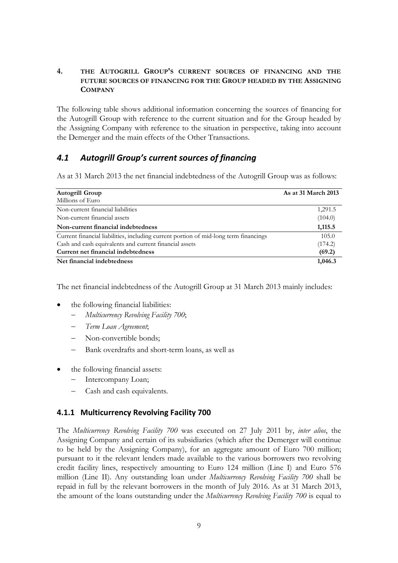## <span id="page-9-0"></span>**4. THE AUTOGRILL GROUP'S CURRENT SOURCES OF FINANCING AND THE FUTURE SOURCES OF FINANCING FOR THE GROUP HEADED BY THE ASSIGNING COMPANY**

The following table shows additional information concerning the sources of financing for the Autogrill Group with reference to the current situation and for the Group headed by the Assigning Company with reference to the situation in perspective, taking into account the Demerger and the main effects of the Other Transactions.

# <span id="page-9-1"></span>*4.1 Autogrill Group's current sources of financing*

As at 31 March 2013 the net financial indebtedness of the Autogrill Group was as follows:

| <b>Autogrill Group</b>                                                               | As at 31 March 2013 |
|--------------------------------------------------------------------------------------|---------------------|
| Millions of Euro                                                                     |                     |
| Non-current financial liabilities                                                    | 1,291.5             |
| Non-current financial assets                                                         | (104.0)             |
| Non-current financial indebtedness                                                   | 1,115.5             |
| Current financial liabilities, including current portion of mid-long term financings | 105.0               |
| Cash and cash equivalents and current financial assets                               | (174.2)             |
| Current net financial indebtedness                                                   | (69.2)              |
| Net financial indebtedness                                                           | 1,046.3             |

The net financial indebtedness of the Autogrill Group at 31 March 2013 mainly includes:

- the following financial liabilities:
	- − *Multicurrency Revolving Facility 700*;
	- − *Term Loan Agreement*;
	- Non-convertible bonds:
	- − Bank overdrafts and short-term loans, as well as
- the following financial assets:
	- − Intercompany Loan;
	- Cash and cash equivalents.

## **4.1.1 Multicurrency Revolving Facility 700**

The *Multicurrency Revolving Facility 700* was executed on 27 July 2011 by, *inter alios*, the Assigning Company and certain of its subsidiaries (which after the Demerger will continue to be held by the Assigning Company), for an aggregate amount of Euro 700 million; pursuant to it the relevant lenders made available to the various borrowers two revolving credit facility lines, respectively amounting to Euro 124 million (Line I) and Euro 576 million (Line II). Any outstanding loan under *Multicurrency Revolving Facility 700* shall be repaid in full by the relevant borrowers in the month of July 2016. As at 31 March 2013, the amount of the loans outstanding under the *Multicurrency Revolving Facility 700* is equal to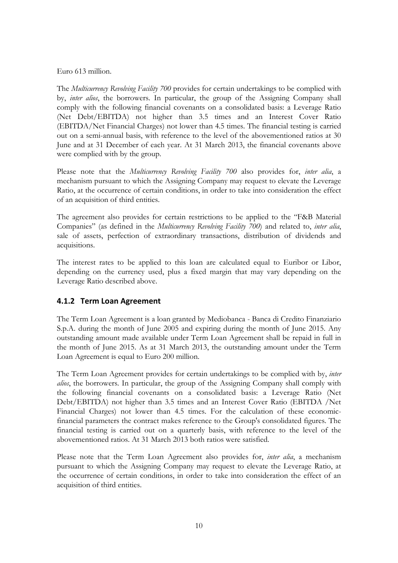Euro 613 million.

The *Multicurrency Revolving Facility 700* provides for certain undertakings to be complied with by, *inter alios*, the borrowers. In particular, the group of the Assigning Company shall comply with the following financial covenants on a consolidated basis: a Leverage Ratio (Net Debt/EBITDA) not higher than 3.5 times and an Interest Cover Ratio (EBITDA/Net Financial Charges) not lower than 4.5 times. The financial testing is carried out on a semi-annual basis, with reference to the level of the abovementioned ratios at 30 June and at 31 December of each year. At 31 March 2013, the financial covenants above were complied with by the group.

Please note that the *Multicurrency Revolving Facility 700* also provides for, *inter alia*, a mechanism pursuant to which the Assigning Company may request to elevate the Leverage Ratio, at the occurrence of certain conditions, in order to take into consideration the effect of an acquisition of third entities.

The agreement also provides for certain restrictions to be applied to the "F&B Material Companies" (as defined in the *Multicurrency Revolving Facility 700*) and related to, *inter alia*, sale of assets, perfection of extraordinary transactions, distribution of dividends and acquisitions.

The interest rates to be applied to this loan are calculated equal to Euribor or Libor, depending on the currency used, plus a fixed margin that may vary depending on the Leverage Ratio described above.

## **4.1.2 Term Loan Agreement**

The Term Loan Agreement is a loan granted by Mediobanca - Banca di Credito Finanziario S.p.A. during the month of June 2005 and expiring during the month of June 2015. Any outstanding amount made available under Term Loan Agreement shall be repaid in full in the month of June 2015. As at 31 March 2013, the outstanding amount under the Term Loan Agreement is equal to Euro 200 million.

The Term Loan Agreement provides for certain undertakings to be complied with by, *inter alios*, the borrowers. In particular, the group of the Assigning Company shall comply with the following financial covenants on a consolidated basis: a Leverage Ratio (Net Debt/EBITDA) not higher than 3.5 times and an Interest Cover Ratio (EBITDA /Net Financial Charges) not lower than 4.5 times. For the calculation of these economicfinancial parameters the contract makes reference to the Group's consolidated figures. The financial testing is carried out on a quarterly basis, with reference to the level of the abovementioned ratios. At 31 March 2013 both ratios were satisfied.

Please note that the Term Loan Agreement also provides for, *inter alia*, a mechanism pursuant to which the Assigning Company may request to elevate the Leverage Ratio, at the occurrence of certain conditions, in order to take into consideration the effect of an acquisition of third entities.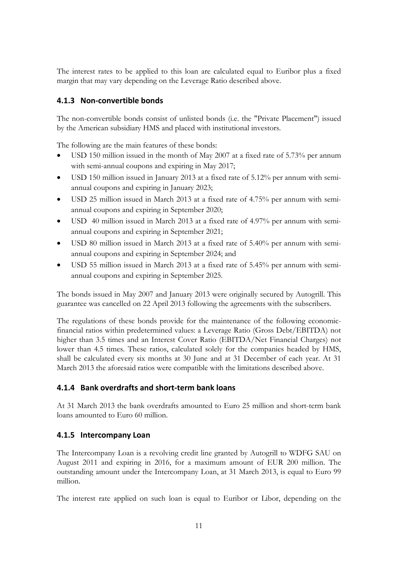The interest rates to be applied to this loan are calculated equal to Euribor plus a fixed margin that may vary depending on the Leverage Ratio described above.

## **4.1.3 Non-convertible bonds**

The non-convertible bonds consist of unlisted bonds (i.e. the "Private Placement") issued by the American subsidiary HMS and placed with institutional investors.

The following are the main features of these bonds:

- USD 150 million issued in the month of May 2007 at a fixed rate of 5.73% per annum with semi-annual coupons and expiring in May 2017;
- USD 150 million issued in January 2013 at a fixed rate of 5.12% per annum with semiannual coupons and expiring in January 2023;
- USD 25 million issued in March 2013 at a fixed rate of 4.75% per annum with semiannual coupons and expiring in September 2020;
- USD 40 million issued in March 2013 at a fixed rate of 4.97% per annum with semiannual coupons and expiring in September 2021;
- USD 80 million issued in March 2013 at a fixed rate of 5.40% per annum with semiannual coupons and expiring in September 2024; and
- USD 55 million issued in March 2013 at a fixed rate of 5.45% per annum with semiannual coupons and expiring in September 2025.

The bonds issued in May 2007 and January 2013 were originally secured by Autogrill. This guarantee was cancelled on 22 April 2013 following the agreements with the subscribers.

The regulations of these bonds provide for the maintenance of the following economicfinancial ratios within predetermined values: a Leverage Ratio (Gross Debt/EBITDA) not higher than 3.5 times and an Interest Cover Ratio (EBITDA/Net Financial Charges) not lower than 4.5 times. These ratios, calculated solely for the companies headed by HMS, shall be calculated every six months at 30 June and at 31 December of each year. At 31 March 2013 the aforesaid ratios were compatible with the limitations described above.

## **4.1.4 Bank overdrafts and short-term bank loans**

At 31 March 2013 the bank overdrafts amounted to Euro 25 million and short-term bank loans amounted to Euro 60 million.

## **4.1.5 Intercompany Loan**

The Intercompany Loan is a revolving credit line granted by Autogrill to WDFG SAU on August 2011 and expiring in 2016, for a maximum amount of EUR 200 million. The outstanding amount under the Intercompany Loan, at 31 March 2013, is equal to Euro 99 million.

The interest rate applied on such loan is equal to Euribor or Libor, depending on the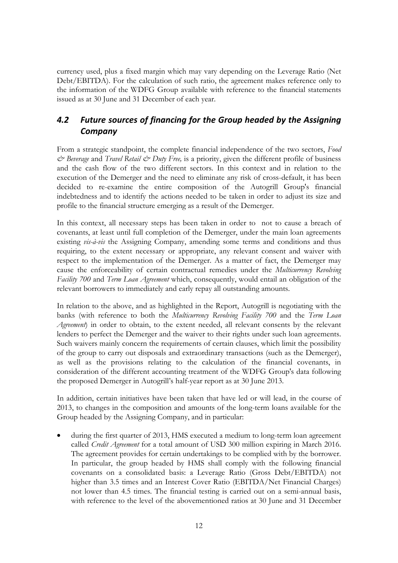currency used, plus a fixed margin which may vary depending on the Leverage Ratio (Net Debt/EBITDA). For the calculation of such ratio, the agreement makes reference only to the information of the WDFG Group available with reference to the financial statements issued as at 30 June and 31 December of each year.

# <span id="page-12-1"></span><span id="page-12-0"></span>*4.2 Future sources of financing for the Group headed by the Assigning Company*

From a strategic standpoint, the complete financial independence of the two sectors, *Food & Beverage* and *Travel Retail & Duty Free,* is a priority, given the different profile of business and the cash flow of the two different sectors. In this context and in relation to the execution of the Demerger and the need to eliminate any risk of cross-default, it has been decided to re-examine the entire composition of the Autogrill Group's financial indebtedness and to identify the actions needed to be taken in order to adjust its size and profile to the financial structure emerging as a result of the Demerger.

In this context, all necessary steps has been taken in order to not to cause a breach of covenants, at least until full completion of the Demerger, under the main loan agreements existing *vis-à-vis* the Assigning Company, amending some terms and conditions and thus requiring, to the extent necessary or appropriate, any relevant consent and waiver with respect to the implementation of the Demerger. As a matter of fact, the Demerger may cause the enforceability of certain contractual remedies under the *Multicurrency Revolving Facility 700* and *Term Loan Agreement* which, consequently, would entail an obligation of the relevant borrowers to immediately and early repay all outstanding amounts.

In relation to the above, and as highlighted in the Report, Autogrill is negotiating with the banks (with reference to both the *Multicurrency Revolving Facility 700* and the *Term Loan Agreement*) in order to obtain, to the extent needed, all relevant consents by the relevant lenders to perfect the Demerger and the waiver to their rights under such loan agreements. Such waivers mainly concern the requirements of certain clauses, which limit the possibility of the group to carry out disposals and extraordinary transactions (such as the Demerger), as well as the provisions relating to the calculation of the financial covenants, in consideration of the different accounting treatment of the WDFG Group's data following the proposed Demerger in Autogrill's half-year report as at 30 June 2013.

In addition, certain initiatives have been taken that have led or will lead, in the course of 2013, to changes in the composition and amounts of the long-term loans available for the Group headed by the Assigning Company, and in particular:

during the first quarter of 2013, HMS executed a medium to long-term loan agreement called *Credit Agreement* for a total amount of USD 300 million expiring in March 2016. The agreement provides for certain undertakings to be complied with by the borrower. In particular, the group headed by HMS shall comply with the following financial covenants on a consolidated basis: a Leverage Ratio (Gross Debt/EBITDA) not higher than 3.5 times and an Interest Cover Ratio (EBITDA/Net Financial Charges) not lower than 4.5 times. The financial testing is carried out on a semi-annual basis, with reference to the level of the abovementioned ratios at 30 June and 31 December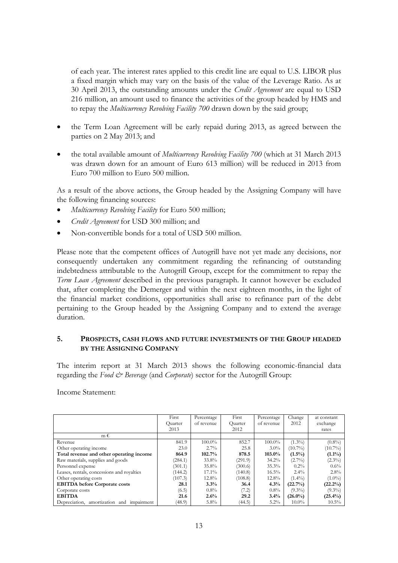of each year. The interest rates applied to this credit line are equal to U.S. LIBOR plus a fixed margin which may vary on the basis of the value of the Leverage Ratio. As at 30 April 2013, the outstanding amounts under the *Credit Agreement* are equal to USD 216 million, an amount used to finance the activities of the group headed by HMS and to repay the *Multicurrency Revolving Facility 700* drawn down by the said group;

- the Term Loan Agreement will be early repaid during 2013, as agreed between the parties on 2 May 2013; and
- the total available amount of *Multicurrency Revolving Facility 700* (which at 31 March 2013 was drawn down for an amount of Euro 613 million) will be reduced in 2013 from Euro 700 million to Euro 500 million.

As a result of the above actions, the Group headed by the Assigning Company will have the following financing sources:

- *Multicurrency Revolving Facility* for Euro 500 million;
- *Credit Agreement* for USD 300 million; and
- Non-convertible bonds for a total of USD 500 million.

Please note that the competent offices of Autogrill have not yet made any decisions, nor consequently undertaken any commitment regarding the refinancing of outstanding indebtedness attributable to the Autogrill Group, except for the commitment to repay the *Term Loan Agreement* described in the previous paragraph. It cannot however be excluded that, after completing the Demerger and within the next eighteen months, in the light of the financial market conditions, opportunities shall arise to refinance part of the debt pertaining to the Group headed by the Assigning Company and to extend the average duration.

#### <span id="page-13-1"></span><span id="page-13-0"></span>**5. PROSPECTS, CASH FLOWS AND FUTURE INVESTMENTS OF THE GROUP HEADED BY THE ASSIGNING COMPANY**

The interim report at 31 March 2013 shows the following economic-financial data regarding the *Food & Beverage* (and *Corporate*) sector for the Autogrill Group:

Income Statement:

|                                                 | First   | Percentage | First   | Percentage | Change     | at constant |
|-------------------------------------------------|---------|------------|---------|------------|------------|-------------|
|                                                 | Ouarter | of revenue | Ouarter | of revenue | 2012       | exchange    |
|                                                 | 2013    |            | 2012    |            |            | rates       |
| $m \in$                                         |         |            |         |            |            |             |
| Revenue                                         | 841.9   | $100.0\%$  | 852.7   | $100.0\%$  | $(1.3\%)$  | $(0.8\%)$   |
| Other operating income                          | 23.0    | $2.7\%$    | 25.8    | $3.0\%$    | $(10.7\%)$ | $(10.7\%)$  |
| Total revenue and other operating income        | 864.9   | 102.7%     | 878.5   | 103.0%     | $(1.5\%)$  | $(1.1\%)$   |
| Raw materials, supplies and goods               | (284.1) | 33.8%      | (291.9) | $34.2\%$   | $(2.7\%)$  | $(2.3\%)$   |
| Personnel expense                               | (301.1) | 35.8%      | (300.6) | 35.3%      | $0.2\%$    | $0.6\%$     |
| Leases, rentals, concessions and royalties      | (144.2) | $17.1\%$   | (140.8) | $16.5\%$   | $2.4\%$    | 2.8%        |
| Other operating costs                           | (107.3) | 12.8%      | (108.8) | 12.8%      | $(1.4\%)$  | $(1.0\%)$   |
| <b>EBITDA</b> before Corporate costs            | 28.1    | 3.3%       | 36.4    | 4.3%       | (22.7%)    | $(22.2\%)$  |
| Corporate costs                                 | (6.5)   | $0.8\%$    | (7.2)   | $0.8\%$    | $(9.3\%)$  | $(9.3\%)$   |
| <b>EBITDA</b>                                   | 21.6    | 2.6%       | 29.2    | 3.4%       | $(26.0\%)$ | $(25.4\%)$  |
| Depreciation, amortization<br>impairment<br>and | (48.9)  | 5.8%       | (44.5)  | $5.2\%$    | $10.0\%$   | $10.5\%$    |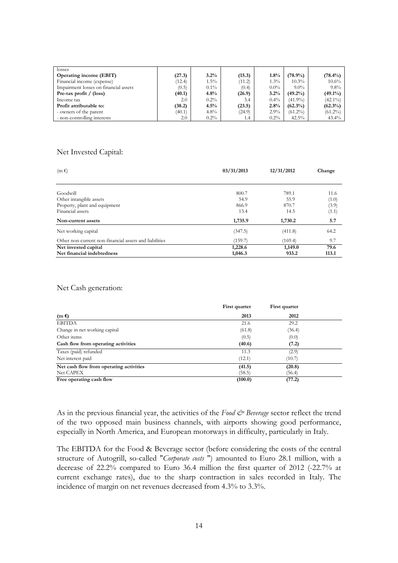| losses                                |        |         |        |         |            |            |
|---------------------------------------|--------|---------|--------|---------|------------|------------|
| <b>Operating income (EBIT)</b>        | (27.3) | 3.2%    | (15.3) | 1.8%    | $(78.9\%)$ | $(78.4\%)$ |
| Financial income (expense)            | (12.4) | $1.5\%$ | (11.2) | $1.3\%$ | $10.3\%$   | $10.6\%$   |
| Impairment losses on financial assets | (0.5)  | $0.1\%$ | (0.4)  | $0.0\%$ | $9.0\%$    | $9.8\%$    |
| Pre-tax profit / $(\text{loss})$      | (40.1) | 4.8%    | (26.9) | 3.2%    | $(49.2\%)$ | $(49.1\%)$ |
| Income tax                            | 2.0    | $0.2\%$ | 3.4    | $0.4\%$ | $(41.9\%)$ | $(42.1\%)$ |
| Profit attributable to:               | (38.2) | $4.5\%$ | (23.5) | 2.8%    | $(62.3\%)$ | $(62.3\%)$ |
| - owners of the parent                | (40.1) | $4.8\%$ | (24.9) | 2.9%    | $(61.2\%)$ | $(61.2\%)$ |
| - non-controlling interests           | 2.0    | $0.2\%$ | 1.4    | $0.2\%$ | $42.5\%$   | $43.4\%$   |

### Net Invested Capital:

| $(m \epsilon)$                                         | 03/31/2013             | 12/31/2012             | Change         |  |
|--------------------------------------------------------|------------------------|------------------------|----------------|--|
| Goodwill<br>Other intangible assets                    | 800.7<br>54.9<br>866.9 | 789.1<br>55.9<br>870.7 | 11.6<br>(1.0)  |  |
| Property, plant and equipment<br>Financial assets      | 13.4                   | 14.5                   | (3.9)<br>(1.1) |  |
| Non-current assets                                     | 1,735.9                | 1,730.2                | 5.7            |  |
| Net working capital                                    | (347.5)                | (411.8)                | 64.2           |  |
| Other non-current non-financial assets and liabilities | (159.7)                | (169.4)                | 9.7            |  |
| Net invested capital<br>Net financial indebtedness     | 1,228.6<br>1,046.3     | 1,149.0<br>933.2       | 79.6<br>113.1  |  |

#### Net Cash generation:

|                                         | First quarter | First quarter |  |
|-----------------------------------------|---------------|---------------|--|
| $(m \epsilon)$                          | 2013          | 2012          |  |
| <b>EBITDA</b>                           | 21.6          | 29.2          |  |
| Change in net working capital           | (61.8)        | (36.4)        |  |
| Other items                             | (0.5)         | (0.0)         |  |
| Cash flow from operating activities     | (40.6)        | (7.2)         |  |
| Taxes (paid) refunded                   | 11.3          | (2.9)         |  |
| Net interest paid                       | (12.1)        | (10.7)        |  |
| Net cash flow from operating activities | (41.5)        | (20.8)        |  |
| Net CAPEX                               | (58.5)        | (56.4)        |  |
| Free operating cash flow                | (100.0)       | (77.2)        |  |

As in the previous financial year, the activities of the *Food & Beverage* sector reflect the trend of the two opposed main business channels, with airports showing good performance, especially in North America, and European motorways in difficulty, particularly in Italy.

The EBITDA for the Food & Beverage sector (before considering the costs of the central structure of Autogrill, so-called "*Corporate costs* ") amounted to Euro 28.1 million, with a decrease of 22.2% compared to Euro 36.4 million the first quarter of 2012 (-22.7% at current exchange rates), due to the sharp contraction in sales recorded in Italy. The incidence of margin on net revenues decreased from 4.3% to 3.3%.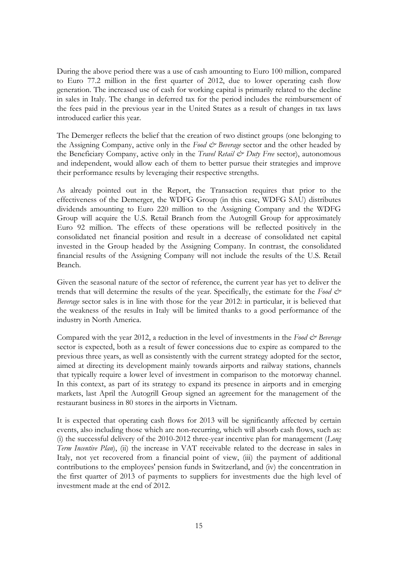During the above period there was a use of cash amounting to Euro 100 million, compared to Euro 77.2 million in the first quarter of 2012, due to lower operating cash flow generation. The increased use of cash for working capital is primarily related to the decline in sales in Italy. The change in deferred tax for the period includes the reimbursement of the fees paid in the previous year in the United States as a result of changes in tax laws introduced earlier this year.

The Demerger reflects the belief that the creation of two distinct groups (one belonging to the Assigning Company, active only in the *Food & Beverage* sector and the other headed by the Beneficiary Company, active only in the *Travel Retail & Duty Free* sector), autonomous and independent, would allow each of them to better pursue their strategies and improve their performance results by leveraging their respective strengths.

As already pointed out in the Report, the Transaction requires that prior to the effectiveness of the Demerger, the WDFG Group (in this case, WDFG SAU) distributes dividends amounting to Euro 220 million to the Assigning Company and the WDFG Group will acquire the U.S. Retail Branch from the Autogrill Group for approximately Euro 92 million. The effects of these operations will be reflected positively in the consolidated net financial position and result in a decrease of consolidated net capital invested in the Group headed by the Assigning Company. In contrast, the consolidated financial results of the Assigning Company will not include the results of the U.S. Retail Branch.

Given the seasonal nature of the sector of reference, the current year has yet to deliver the trends that will determine the results of the year. Specifically, the estimate for the *Food & Beverage* sector sales is in line with those for the year 2012: in particular, it is believed that the weakness of the results in Italy will be limited thanks to a good performance of the industry in North America.

Compared with the year 2012, a reduction in the level of investments in the *Food & Beverage* sector is expected, both as a result of fewer concessions due to expire as compared to the previous three years, as well as consistently with the current strategy adopted for the sector, aimed at directing its development mainly towards airports and railway stations, channels that typically require a lower level of investment in comparison to the motorway channel. In this context, as part of its strategy to expand its presence in airports and in emerging markets, last April the Autogrill Group signed an agreement for the management of the restaurant business in 80 stores in the airports in Vietnam.

It is expected that operating cash flows for 2013 will be significantly affected by certain events, also including those which are non-recurring, which will absorb cash flows, such as: (i) the successful delivery of the 2010-2012 three-year incentive plan for management (*Long Term Incentive Plan*), (ii) the increase in VAT receivable related to the decrease in sales in Italy, not yet recovered from a financial point of view, (iii) the payment of additional contributions to the employees' pension funds in Switzerland, and (iv) the concentration in the first quarter of 2013 of payments to suppliers for investments due the high level of investment made at the end of 2012.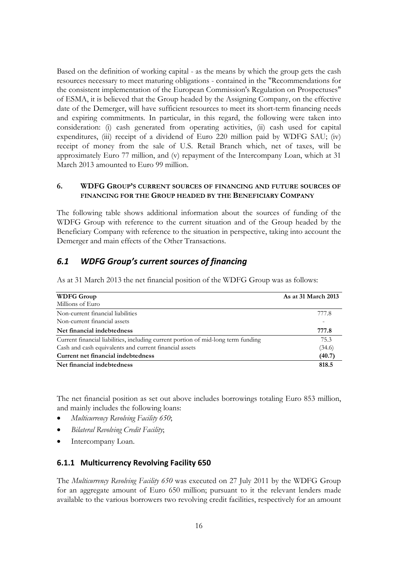Based on the definition of working capital - as the means by which the group gets the cash resources necessary to meet maturing obligations - contained in the "Recommendations for the consistent implementation of the European Commission's Regulation on Prospectuses" of ESMA, it is believed that the Group headed by the Assigning Company, on the effective date of the Demerger, will have sufficient resources to meet its short-term financing needs and expiring commitments. In particular, in this regard, the following were taken into consideration: (i) cash generated from operating activities, (ii) cash used for capital expenditures, (iii) receipt of a dividend of Euro 220 million paid by WDFG SAU; (iv) receipt of money from the sale of U.S. Retail Branch which, net of taxes, will be approximately Euro 77 million, and (v) repayment of the Intercompany Loan, which at 31 March 2013 amounted to Euro 99 million.

### <span id="page-16-0"></span>**6. WDFG GROUP'S CURRENT SOURCES OF FINANCING AND FUTURE SOURCES OF FINANCING FOR THE GROUP HEADED BY THE BENEFICIARY COMPANY**

The following table shows additional information about the sources of funding of the WDFG Group with reference to the current situation and of the Group headed by the Beneficiary Company with reference to the situation in perspective, taking into account the Demerger and main effects of the Other Transactions.

# <span id="page-16-1"></span>*6.1 WDFG Group's current sources of financing*

As at 31 March 2013 the net financial position of the WDFG Group was as follows:

| <b>WDFG Group</b>                                                                 | As at 31 March 2013 |
|-----------------------------------------------------------------------------------|---------------------|
| Millions of Euro                                                                  |                     |
| Non-current financial liabilities                                                 | 777.8               |
| Non-current financial assets                                                      | ۰                   |
| Net financial indebtedness                                                        | 777.8               |
| Current financial liabilities, including current portion of mid-long term funding | 75.3                |
| Cash and cash equivalents and current financial assets                            | (34.6)              |
| Current net financial indebtedness                                                | (40.7)              |
| Net financial indebtedness                                                        | 818.5               |

The net financial position as set out above includes borrowings totaling Euro 853 million, and mainly includes the following loans:

- *Multicurrency Revolving Facility 650*;
- *Bilateral Revolving Credit Facility*;
- Intercompany Loan.

## **6.1.1 Multicurrency Revolving Facility 650**

The *Multicurrency Revolving Facility 650* was executed on 27 July 2011 by the WDFG Group for an aggregate amount of Euro 650 million; pursuant to it the relevant lenders made available to the various borrowers two revolving credit facilities, respectively for an amount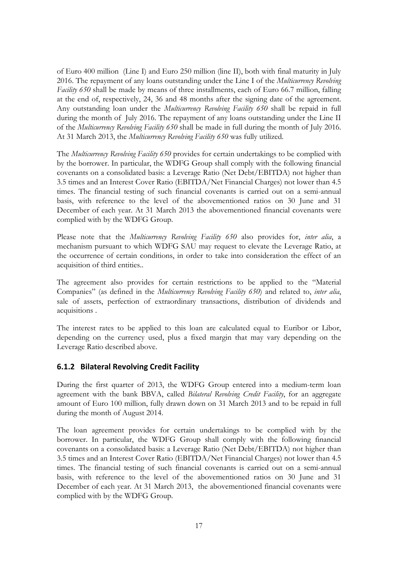of Euro 400 million (Line I) and Euro 250 million (line II), both with final maturity in July 2016. The repayment of any loans outstanding under the Line I of the *Multicurrency Revolving Facility 650* shall be made by means of three installments, each of Euro 66.7 million, falling at the end of, respectively, 24, 36 and 48 months after the signing date of the agreement. Any outstanding loan under the *Multicurrency Revolving Facility 650* shall be repaid in full during the month of July 2016. The repayment of any loans outstanding under the Line II of the *Multicurrency Revolving Facility 650* shall be made in full during the month of July 2016. At 31 March 2013, the *Multicurrency Revolving Facility 650* was fully utilized.

The *Multicurrency Revolving Facility 650* provides for certain undertakings to be complied with by the borrower. In particular, the WDFG Group shall comply with the following financial covenants on a consolidated basis: a Leverage Ratio (Net Debt/EBITDA) not higher than 3.5 times and an Interest Cover Ratio (EBITDA/Net Financial Charges) not lower than 4.5 times. The financial testing of such financial covenants is carried out on a semi-annual basis, with reference to the level of the abovementioned ratios on 30 June and 31 December of each year. At 31 March 2013 the abovementioned financial covenants were complied with by the WDFG Group.

Please note that the *Multicurrency Revolving Facility 650* also provides for, *inter alia*, a mechanism pursuant to which WDFG SAU may request to elevate the Leverage Ratio, at the occurrence of certain conditions, in order to take into consideration the effect of an acquisition of third entities..

The agreement also provides for certain restrictions to be applied to the "Material Companies" (as defined in the *Multicurrency Revolving Facility 650*) and related to, *inter alia*, sale of assets, perfection of extraordinary transactions, distribution of dividends and acquisitions .

The interest rates to be applied to this loan are calculated equal to Euribor or Libor, depending on the currency used, plus a fixed margin that may vary depending on the Leverage Ratio described above.

## **6.1.2 Bilateral Revolving Credit Facility**

During the first quarter of 2013, the WDFG Group entered into a medium-term loan agreement with the bank BBVA, called *Bilateral Revolving Credit Facility*, for an aggregate amount of Euro 100 million, fully drawn down on 31 March 2013 and to be repaid in full during the month of August 2014.

The loan agreement provides for certain undertakings to be complied with by the borrower. In particular, the WDFG Group shall comply with the following financial covenants on a consolidated basis: a Leverage Ratio (Net Debt/EBITDA) not higher than 3.5 times and an Interest Cover Ratio (EBITDA/Net Financial Charges) not lower than 4.5 times. The financial testing of such financial covenants is carried out on a semi-annual basis, with reference to the level of the abovementioned ratios on 30 June and 31 December of each year. At 31 March 2013, the abovementioned financial covenants were complied with by the WDFG Group.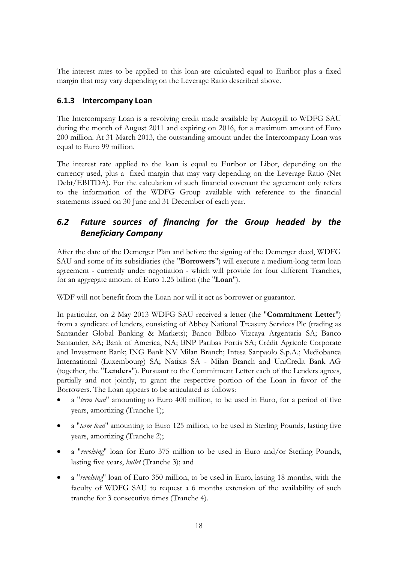The interest rates to be applied to this loan are calculated equal to Euribor plus a fixed margin that may vary depending on the Leverage Ratio described above.

# **6.1.3 Intercompany Loan**

The Intercompany Loan is a revolving credit made available by Autogrill to WDFG SAU during the month of August 2011 and expiring on 2016, for a maximum amount of Euro 200 million. At 31 March 2013, the outstanding amount under the Intercompany Loan was equal to Euro 99 million.

The interest rate applied to the loan is equal to Euribor or Libor, depending on the currency used, plus a fixed margin that may vary depending on the Leverage Ratio (Net Debt/EBITDA). For the calculation of such financial covenant the agreement only refers to the information of the WDFG Group available with reference to the financial statements issued on 30 June and 31 December of each year.

# <span id="page-18-0"></span>*6.2 Future sources of financing for the Group headed by the Beneficiary Company*

After the date of the Demerger Plan and before the signing of the Demerger deed, WDFG SAU and some of its subsidiaries (the "**Borrowers**") will execute a medium-long term loan agreement - currently under negotiation - which will provide for four different Tranches, for an aggregate amount of Euro 1.25 billion (the "**Loan**").

WDF will not benefit from the Loan nor will it act as borrower or guarantor.

In particular, on 2 May 2013 WDFG SAU received a letter (the "**Commitment Letter**") from a syndicate of lenders, consisting of Abbey National Treasury Services Plc (trading as Santander Global Banking & Markets); Banco Bilbao Vizcaya Argentaria SA; Banco Santander, SA; Bank of America, NA; BNP Paribas Fortis SA; Crédit Agricole Corporate and Investment Bank; ING Bank NV Milan Branch; Intesa Sanpaolo S.p.A.; Mediobanca International (Luxembourg) SA; Natixis SA - Milan Branch and UniCredit Bank AG (together, the "**Lenders**"). Pursuant to the Commitment Letter each of the Lenders agrees, partially and not jointly, to grant the respective portion of the Loan in favor of the Borrowers. The Loan appears to be articulated as follows:

- a "*term loan*" amounting to Euro 400 million, to be used in Euro, for a period of five years, amortizing (Tranche 1);
- a "*term loan*" amounting to Euro 125 million, to be used in Sterling Pounds, lasting five years, amortizing (Tranche 2);
- a "*revolving*" loan for Euro 375 million to be used in Euro and/or Sterling Pounds, lasting five years, *bullet* (Tranche 3); and
- a "*revolving*" loan of Euro 350 million, to be used in Euro, lasting 18 months, with the faculty of WDFG SAU to request a 6 months extension of the availability of such tranche for 3 consecutive times (Tranche 4).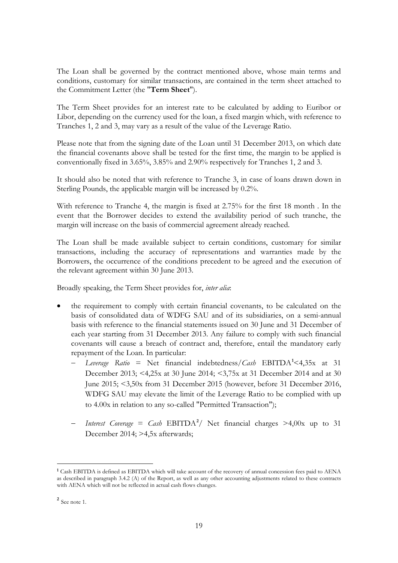The Loan shall be governed by the contract mentioned above, whose main terms and conditions, customary for similar transactions, are contained in the term sheet attached to the Commitment Letter (the "**Term Sheet**").

The Term Sheet provides for an interest rate to be calculated by adding to Euribor or Libor, depending on the currency used for the loan, a fixed margin which, with reference to Tranches 1, 2 and 3, may vary as a result of the value of the Leverage Ratio.

Please note that from the signing date of the Loan until 31 December 2013, on which date the financial covenants above shall be tested for the first time, the margin to be applied is conventionally fixed in 3.65%, 3.85% and 2.90% respectively for Tranches 1, 2 and 3.

It should also be noted that with reference to Tranche 3, in case of loans drawn down in Sterling Pounds, the applicable margin will be increased by 0.2%.

With reference to Tranche 4, the margin is fixed at 2.75% for the first 18 month . In the event that the Borrower decides to extend the availability period of such tranche, the margin will increase on the basis of commercial agreement already reached.

The Loan shall be made available subject to certain conditions, customary for similar transactions, including the accuracy of representations and warranties made by the Borrowers, the occurrence of the conditions precedent to be agreed and the execution of the relevant agreement within 30 June 2013.

Broadly speaking, the Term Sheet provides for, *inter alia*:

- the requirement to comply with certain financial covenants, to be calculated on the basis of consolidated data of WDFG SAU and of its subsidiaries, on a semi-annual basis with reference to the financial statements issued on 30 June and 31 December of each year starting from 31 December 2013. Any failure to comply with such financial covenants will cause a breach of contract and, therefore, entail the mandatory early repayment of the Loan. In particular:
	- − *Leverage Ratio* = Net financial indebtedness/*Cash* EBITDA**[1](#page-19-0)** <4,35x at 31 December 2013; <4,25x at 30 June 2014; <3,75x at 31 December 2014 and at 30 June 2015; <3,50x from 31 December 2015 (however, before 31 December 2016, WDFG SAU may elevate the limit of the Leverage Ratio to be complied with up to 4.00x in relation to any so-called "Permitted Transaction");
	- − *Interest Coverage* = *Cash* EBITDA **[2](#page-19-1)** / Net financial charges >4,00x up to 31 December 2014; >4,5x afterwards;

<u>.</u>

<span id="page-19-0"></span>**<sup>1</sup>** Cash EBITDA is defined as EBITDA which will take account of the recovery of annual concession fees paid to AENA as described in paragraph 3.4.2 (A) of the Report, as well as any other accounting adjustments related to these contracts with AENA which will not be reflected in actual cash flows changes.

<span id="page-19-1"></span>**<sup>2</sup>** See note 1.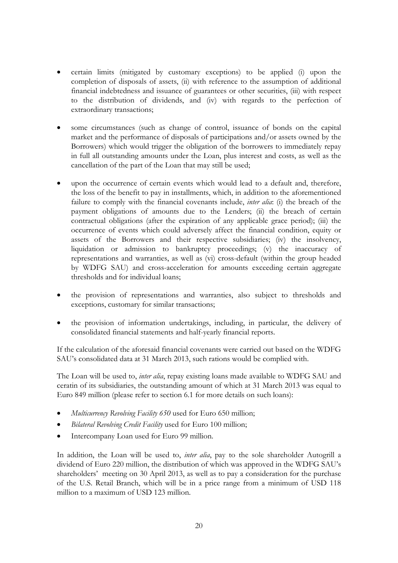- certain limits (mitigated by customary exceptions) to be applied (i) upon the completion of disposals of assets, (ii) with reference to the assumption of additional financial indebtedness and issuance of guarantees or other securities, (iii) with respect to the distribution of dividends, and (iv) with regards to the perfection of extraordinary transactions;
- some circumstances (such as change of control, issuance of bonds on the capital market and the performance of disposals of participations and/or assets owned by the Borrowers) which would trigger the obligation of the borrowers to immediately repay in full all outstanding amounts under the Loan, plus interest and costs, as well as the cancellation of the part of the Loan that may still be used;
- upon the occurrence of certain events which would lead to a default and, therefore, the loss of the benefit to pay in installments, which, in addition to the aforementioned failure to comply with the financial covenants include, *inter alia*: (i) the breach of the payment obligations of amounts due to the Lenders; (ii) the breach of certain contractual obligations (after the expiration of any applicable grace period); (iii) the occurrence of events which could adversely affect the financial condition, equity or assets of the Borrowers and their respective subsidiaries; (iv) the insolvency, liquidation or admission to bankruptcy proceedings; (v) the inaccuracy of representations and warranties, as well as (vi) cross-default (within the group headed by WDFG SAU) and cross-acceleration for amounts exceeding certain aggregate thresholds and for individual loans;
- the provision of representations and warranties, also subject to thresholds and exceptions, customary for similar transactions;
- the provision of information undertakings, including, in particular, the delivery of consolidated financial statements and half-yearly financial reports.

If the calculation of the aforesaid financial covenants were carried out based on the WDFG SAU's consolidated data at 31 March 2013, such rations would be complied with.

The Loan will be used to, *inter alia*, repay existing loans made available to WDFG SAU and ceratin of its subsidiaries, the outstanding amount of which at 31 March 2013 was equal to Euro 849 million (please refer to section 6.1 for more details on such loans):

- *Multicurrency Revolving Facility 650* used for Euro 650 million;
- *Bilateral Revolving Credit Facility* used for Euro 100 million;
- Intercompany Loan used for Euro 99 million.

In addition, the Loan will be used to, *inter alia*, pay to the sole shareholder Autogrill a dividend of Euro 220 million, the distribution of which was approved in the WDFG SAU's shareholders' meeting on 30 April 2013, as well as to pay a consideration for the purchase of the U.S. Retail Branch, which will be in a price range from a minimum of USD 118 million to a maximum of USD 123 million.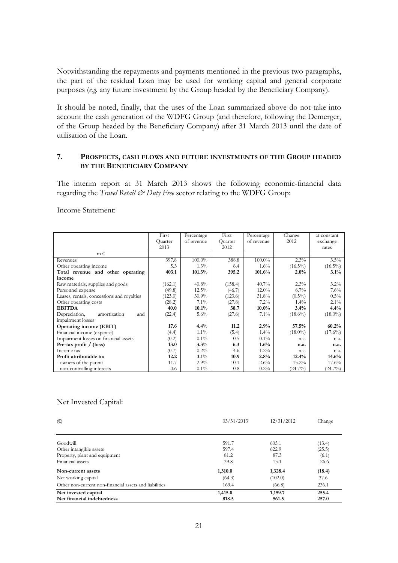Notwithstanding the repayments and payments mentioned in the previous two paragraphs, the part of the residual Loan may be used for working capital and general corporate purposes (*e.g.* any future investment by the Group headed by the Beneficiary Company).

It should be noted, finally, that the uses of the Loan summarized above do not take into account the cash generation of the WDFG Group (and therefore, following the Demerger, of the Group headed by the Beneficiary Company) after 31 March 2013 until the date of utilisation of the Loan.

### <span id="page-21-1"></span><span id="page-21-0"></span>**7. PROSPECTS, CASH FLOWS AND FUTURE INVESTMENTS OF THE GROUP HEADED BY THE BENEFICIARY COMPANY**

The interim report at 31 March 2013 shows the following economic-financial data regarding the *Travel Retail & Duty Free* sector relating to the WDFG Group:

Income Statement:

|                                            | First<br>Ouarter | Percentage<br>of revenue | First<br>Quarter | Percentage<br>of revenue | Change<br>2012 | at constant<br>exchange |
|--------------------------------------------|------------------|--------------------------|------------------|--------------------------|----------------|-------------------------|
|                                            | 2013             |                          | 2012             |                          |                | rates                   |
| $m \in$                                    |                  |                          |                  |                          |                |                         |
| Revenues                                   | 397.8            | 100.0%                   | 388.8            | 100.0%                   | 2.3%           | 3.5%                    |
| Other operating income                     | 5.3              | 1.3%                     | 6.4              | $1.6\%$                  | $(16.5\%)$     | $(16.5\%)$              |
| Total revenue and other operating          | 403.1            | 101.3%                   | 395.2            | 101.6%                   | $2.0\%$        | 3.1%                    |
| income                                     |                  |                          |                  |                          |                |                         |
| Raw materials, supplies and goods          | (162.1)          | 40.8%                    | (158.4)          | 40.7%                    | 2.3%           | $3.2\%$                 |
| Personnel expense                          | (49.8)           | $12.5\%$                 | (46.7)           | $12.0\%$                 | $6.7\%$        | 7.6%                    |
| Leases, rentals, concessions and royalties | (123.0)          | $30.9\%$                 | (123.6)          | 31.8%                    | $(0.5\%)$      | $0.5\%$                 |
| Other operating costs                      | (28.2)           | $7.1\%$                  | (27.8)           | 7.2%                     | $1.4\%$        | $2.1\%$                 |
| <b>EBITDA</b>                              | 40.0             | 10.1%                    | 38.7             | $10.0\%$                 | 3.4%           | 4.4%                    |
| Depreciation,<br>amortization<br>and       | (22.4)           | $5.6\%$                  | (27.6)           | $7.1\%$                  | $(18.6\%)$     | $(18.0\%)$              |
| impairment losses                          |                  |                          |                  |                          |                |                         |
| <b>Operating income (EBIT)</b>             | 17.6             | 4.4%                     | 11.2             | 2.9%                     | 57.5%          | 60.2%                   |
| Financial income (expense)                 | (4.4)            | $1.1\%$                  | (5.4)            | $1.4\%$                  | $(18.0\%)$     | $(17.6\%)$              |
| Impairment losses on financial assets      | (0.2)            | $0.1\%$                  | 0.5              | $0.1\%$                  | n.a.           | n.a.                    |
| Pre-tax profit / (loss)                    | 13.0             | 3.3%                     | 6.3              | $1.6\%$                  | n.a.           | n.a.                    |
| Income tax                                 | (0.7)            | $0.2\%$                  | 4.6              | $1.2\%$                  | n.a.           | n.a.                    |
| Profit attributable to:                    | 12.2             | 3.1%                     | 10.9             | 2.8%                     | 12.4%          | 14.6%                   |
| - owners of the parent                     | 11.7             | 2.9%                     | 10.1             | $2.6\%$                  | 15.2%          | 17.6%                   |
| - non-controlling interests                | 0.6              | $0.1\%$                  | 0.8              | $0.2\%$                  | $(24.7\%)$     | $(24.7\%)$              |

#### Net Invested Capital:

| $(\epsilon)$                                           | 03/31/2013 | 12/31/2012 | Change |
|--------------------------------------------------------|------------|------------|--------|
|                                                        |            |            |        |
| Goodwill                                               | 591.7      | 605.1      | (13.4) |
| Other intangible assets                                | 597.4      | 622.9      | (25.5) |
| Property, plant and equipment                          | 81.2       | 87.3       | (6.1)  |
| Financial assets                                       | 39.8       | 13.1       | 26.6   |
| Non-current assets                                     | 1,310.0    | 1,328.4    | (18.4) |
| Net working capital                                    | (64.3)     | (102.0)    | 37.6   |
| Other non-current non-financial assets and liabilities | 169.4      | (66.8)     | 236.1  |
| Net invested capital                                   | 1,415.0    | 1,159.7    | 255.4  |
| Net financial indebtedness                             | 818.5      | 561.5      | 257.0  |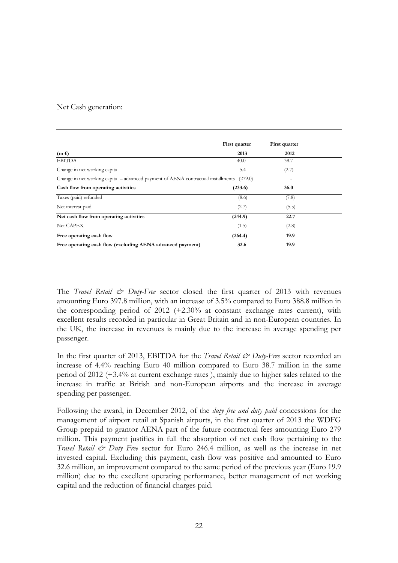### Net Cash generation:

|                                                                                                   | First quarter | First quarter |  |
|---------------------------------------------------------------------------------------------------|---------------|---------------|--|
| $(m \epsilon)$                                                                                    | 2013          | 2012          |  |
| <b>EBITDA</b>                                                                                     | 40.0          | 38.7          |  |
| Change in net working capital                                                                     | 5.4           | (2.7)         |  |
| Change in net working capital – advanced payment of AENA contractual installments<br>(279.0)<br>٠ |               |               |  |
| Cash flow from operating activities                                                               | (233.6)       | 36.0          |  |
| Taxes (paid) refunded                                                                             | (8.6)         | (7.8)         |  |
| Net interest paid                                                                                 | (2.7)         | (5.5)         |  |
| Net cash flow from operating activities                                                           | (244.9)       | 22.7          |  |
| <b>Net CAPEX</b>                                                                                  | (1.5)         | (2.8)         |  |
| Free operating cash flow                                                                          | (264.4)       | 19.9          |  |
| Free operating cash flow (excluding AENA advanced payment)                                        | 32.6          | 19.9          |  |

The *Travel Retail & Duty-Free* sector closed the first quarter of 2013 with revenues amounting Euro 397.8 million, with an increase of 3.5% compared to Euro 388.8 million in the corresponding period of 2012 (+2.30% at constant exchange rates current), with excellent results recorded in particular in Great Britain and in non-European countries. In the UK, the increase in revenues is mainly due to the increase in average spending per passenger.

In the first quarter of 2013, EBITDA for the *Travel Retail & Duty-Free* sector recorded an increase of 4.4% reaching Euro 40 million compared to Euro 38.7 million in the same period of 2012 (+3.4% at current exchange rates ), mainly due to higher sales related to the increase in traffic at British and non-European airports and the increase in average spending per passenger.

Following the award, in December 2012, of the *duty free and duty paid* concessions for the management of airport retail at Spanish airports, in the first quarter of 2013 the WDFG Group prepaid to grantor AENA part of the future contractual fees amounting Euro 279 million. This payment justifies in full the absorption of net cash flow pertaining to the *Travel Retail & Duty Free* sector for Euro 246.4 million, as well as the increase in net invested capital. Excluding this payment, cash flow was positive and amounted to Euro 32.6 million, an improvement compared to the same period of the previous year (Euro 19.9 million) due to the excellent operating performance, better management of net working capital and the reduction of financial charges paid.